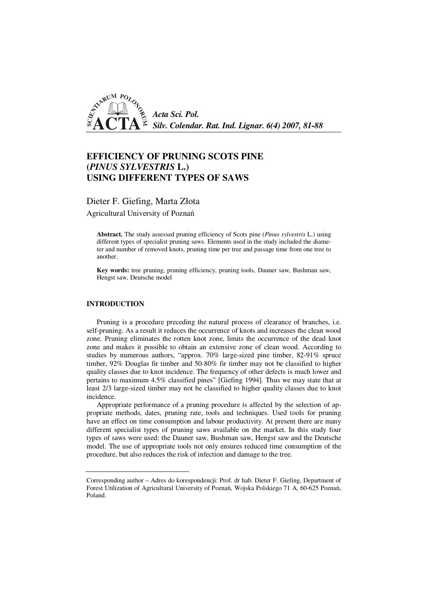

# **EFFICIENCY OF PRUNING SCOTS PINE (***PINUS SYLVESTRIS* **L.) USING DIFFERENT TYPES OF SAWS**

Dieter F. Giefing, Marta Złota

Agricultural University of Poznań

**Abstract.** The study assessed pruning efficiency of Scots pine (*Pinus sylvestris* L.) using different types of specialist pruning saws. Elements used in the study included the diameter and number of removed knots, pruning time per tree and passage time from one tree to another.

**Key words:** tree pruning, pruning efficiency, pruning tools, Dauner saw, Bushman saw, Hengst saw, Deutsche model

# **INTRODUCTION**

Pruning is a procedure preceding the natural process of clearance of branches, i.e. self-pruning. As a result it reduces the occurrence of knots and increases the clean wood zone. Pruning eliminates the rotten knot zone, limits the occurrence of the dead knot zone and makes it possible to obtain an extensive zone of clean wood. According to studies by numerous authors, "approx. 70% large-sized pine timber, 82-91% spruce timber, 92% Douglas fir timber and 50-80% fir timber may not be classified to higher quality classes due to knot incidence. The frequency of other defects is much lower and pertains to maximum 4.5% classified pines" [Giefing 1994]. Thus we may state that at least 2/3 large-sized timber may not be classified to higher quality classes due to knot incidence.

Appropriate performance of a pruning procedure is affected by the selection of appropriate methods, dates, pruning rate, tools and techniques. Used tools for pruning have an effect on time consumption and labour productivity. At present there are many different specialist types of pruning saws available on the market. In this study four types of saws were used: the Dauner saw, Bushman saw, Hengst saw and the Deutsche model. The use of appropriate tools not only ensures reduced time consumption of the procedure, but also reduces the risk of infection and damage to the tree.

Corresponding author – Adres do korespondencji: Prof. dr hab. Dieter F. Giefing, Department of Forest Utilization of Agricultural University of Poznań, Wojska Polskiego 71 A, 60-625 Poznań, Poland.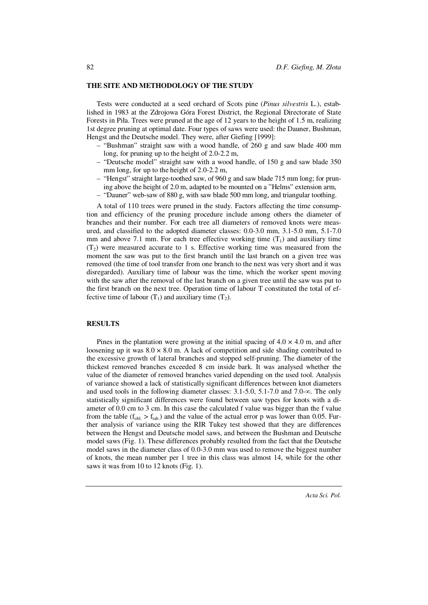### **THE SITE AND METHODOLOGY OF THE STUDY**

Tests were conducted at a seed orchard of Scots pine (*Pinus silvestris* L.), established in 1983 at the Zdrojowa Góra Forest District, the Regional Directorate of State Forests in Piła. Trees were pruned at the age of 12 years to the height of 1.5 m, realizing 1st degree pruning at optimal date. Four types of saws were used: the Dauner, Bushman, Hengst and the Deutsche model. They were, after Giefing [1999]:

- "Bushman" straight saw with a wood handle, of 260 g and saw blade 400 mm long, for pruning up to the height of 2.0-2.2 m,
- "Deutsche model" straight saw with a wood handle, of 150 g and saw blade 350 mm long, for up to the height of 2.0-2.2 m,
- "Hengst" straight large-toothed saw, of 960 g and saw blade 715 mm long; for pruning above the height of 2.0 m, adapted to be mounted on a "Helms" extension arm,
- "Dauner" web-saw of 880 g, with saw blade 500 mm long, and triangular toothing.

A total of 110 trees were pruned in the study. Factors affecting the time consumption and efficiency of the pruning procedure include among others the diameter of branches and their number. For each tree all diameters of removed knots were measured, and classified to the adopted diameter classes: 0.0-3.0 mm, 3.1-5.0 mm, 5.1-7.0 mm and above 7.1 mm. For each tree effective working time  $(T_1)$  and auxiliary time  $(T<sub>2</sub>)$  were measured accurate to 1 s. Effective working time was measured from the moment the saw was put to the first branch until the last branch on a given tree was removed (the time of tool transfer from one branch to the next was very short and it was disregarded). Auxiliary time of labour was the time, which the worker spent moving with the saw after the removal of the last branch on a given tree until the saw was put to the first branch on the next tree. Operation time of labour T constituted the total of effective time of labour  $(T_1)$  and auxiliary time  $(T_2)$ .

#### **RESULTS**

Pines in the plantation were growing at the initial spacing of  $4.0 \times 4.0$  m, and after loosening up it was  $8.0 \times 8.0$  m. A lack of competition and side shading contributed to the excessive growth of lateral branches and stopped self-pruning. The diameter of the thickest removed branches exceeded 8 cm inside bark. It was analysed whether the value of the diameter of removed branches varied depending on the used tool. Analysis of variance showed a lack of statistically significant differences between knot diameters and used tools in the following diameter classes: 3.1-5.0, 5.1-7.0 and 7.0-∞. The only statistically significant differences were found between saw types for knots with a diameter of 0.0 cm to 3 cm. In this case the calculated f value was bigger than the f value from the table ( $f_{\text{obl}} > f_{\text{tab}}$ ) and the value of the actual error p was lower than 0.05. Further analysis of variance using the RIR Tukey test showed that they are differences between the Hengst and Deutsche model saws, and between the Bushman and Deutsche model saws (Fig. 1). These differences probably resulted from the fact that the Deutsche model saws in the diameter class of 0.0-3.0 mm was used to remove the biggest number of knots, the mean number per 1 tree in this class was almost 14, while for the other saws it was from 10 to 12 knots (Fig. 1).

82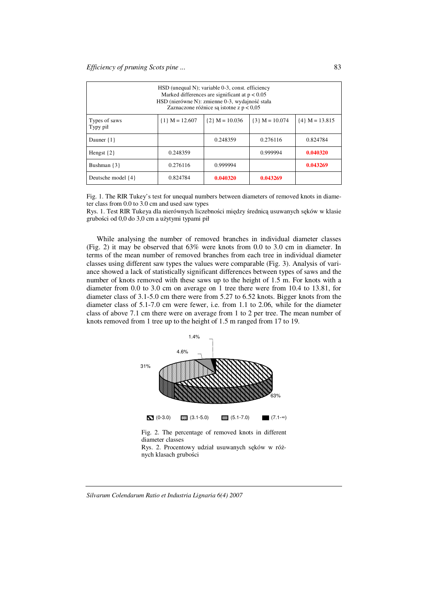| HSD (unequal N); variable 0-3, const. efficiency<br>Marked differences are significant at $p < 0.05$<br>HSD (nierówne N): zmienne 0-3, wydajność stała<br>Zaznaczone różnice są istotne z $p < 0.05$ |                    |                  |                    |                  |  |  |  |
|------------------------------------------------------------------------------------------------------------------------------------------------------------------------------------------------------|--------------------|------------------|--------------------|------------------|--|--|--|
| Types of saws<br>Typy pił                                                                                                                                                                            | $\{1\}$ M = 12.607 | ${2}$ M = 10.036 | $\{3\}$ M = 10.074 | ${4}$ M = 13.815 |  |  |  |
| Dauner $\{1\}$                                                                                                                                                                                       |                    | 0.248359         | 0.276116           | 0.824784         |  |  |  |
| Hengst $\{2\}$                                                                                                                                                                                       | 0.248359           |                  | 0.999994           | 0.040320         |  |  |  |
| Bushman $\{3\}$                                                                                                                                                                                      | 0.276116           | 0.999994         |                    | 0.043269         |  |  |  |
| Deutsche model {4}                                                                                                                                                                                   | 0.824784           | 0.040320         | 0.043269           |                  |  |  |  |

Fig. 1. The RIR Tukey's test for unequal numbers between diameters of removed knots in diameter class from 0.0 to 3.0 cm and used saw types

Rys. 1. Test RIR Tukeya dla nierównych liczebności między średnicą usuwanych sęków w klasie grubości od 0,0 do 3,0 cm a użytymi typami pił

While analysing the number of removed branches in individual diameter classes (Fig. 2) it may be observed that 63% were knots from 0.0 to 3.0 cm in diameter. In terms of the mean number of removed branches from each tree in individual diameter classes using different saw types the values were comparable (Fig. 3). Analysis of variance showed a lack of statistically significant differences between types of saws and the number of knots removed with these saws up to the height of 1.5 m. For knots with a diameter from 0.0 to 3.0 cm on average on 1 tree there were from 10.4 to 13.81, for diameter class of 3.1-5.0 cm there were from 5.27 to 6.52 knots. Bigger knots from the diameter class of 5.1-7.0 cm were fewer, i.e. from 1.1 to 2.06, while for the diameter class of above 7.1 cm there were on average from 1 to 2 per tree. The mean number of knots removed from 1 tree up to the height of 1.5 m ranged from 17 to 19.



Rys. 2. Procentowy udział usuwanych sęków w różnych klasach grubości

*Silvarum Colendarum Ratio et Industria Lignaria 6(4) 2007*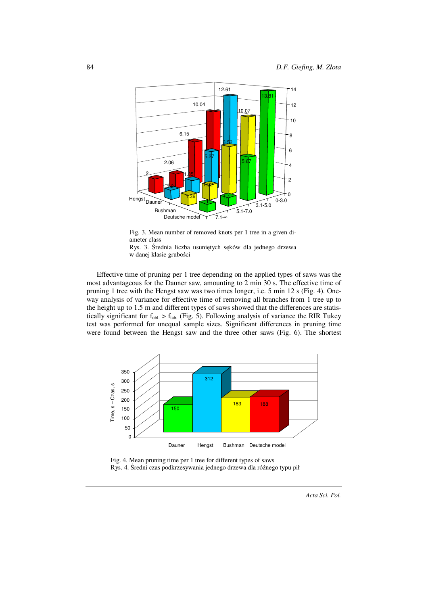

Fig. 3. Mean number of removed knots per 1 tree in a given diameter class



Effective time of pruning per 1 tree depending on the applied types of saws was the most advantageous for the Dauner saw, amounting to 2 min 30 s. The effective time of pruning 1 tree with the Hengst saw was two times longer, i.e. 5 min 12 s (Fig. 4). Oneway analysis of variance for effective time of removing all branches from 1 tree up to the height up to 1.5 m and different types of saws showed that the differences are statistically significant for  $f_{\text{obl}} > f_{\text{tab}}$ . (Fig. 5). Following analysis of variance the RIR Tukey test was performed for unequal sample sizes. Significant differences in pruning time were found between the Hengst saw and the three other saws (Fig. 6). The shortest





*Acta Sci. Pol.*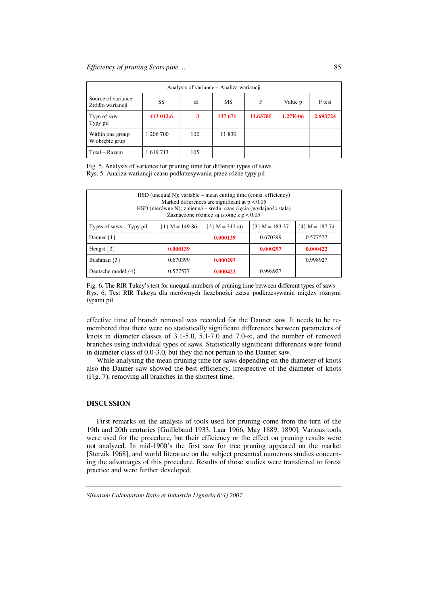| Analysis of variance – Analiza wariancji |           |     |         |          |          |          |  |  |  |
|------------------------------------------|-----------|-----|---------|----------|----------|----------|--|--|--|
| Source of variance<br>Źródło wariancji   | SS        | df  | МS      | F        | Value p  | F test   |  |  |  |
| Type of saw<br>Typy pił                  | 413 012.6 | 3   | 137 671 | 11.63705 | 1.27E-06 | 2.693724 |  |  |  |
| Within one group<br>W obrębie grup       | 1 206 700 | 102 | 11 830  |          |          |          |  |  |  |
| Total – Razem                            | 1619713   | 105 |         |          |          |          |  |  |  |

Fig. 5. Analysis of variance for pruning time for different types of saws Rys. 5. Analiza wariancji czasu podkrzesywania przez różne typy pił

| $\text{HSD}$ (unequal N); variable – mean cutting time (const. efficiency)<br>Marked differences are significant at $p < 0.05$<br>HSD (nierówne N); zmienna – średni czas cięcia (wydajność stała)<br>Zaznaczone różnice są istotne z $p < 0.05$ |                    |                    |                  |                  |  |  |  |
|--------------------------------------------------------------------------------------------------------------------------------------------------------------------------------------------------------------------------------------------------|--------------------|--------------------|------------------|------------------|--|--|--|
| Types of saws $-$ Typy pił                                                                                                                                                                                                                       | $\{1\}$ M = 149.86 | $\{2\}$ M = 312.46 | ${3}$ M = 183.37 | ${4}$ M = 187.74 |  |  |  |
| Dauner $\{1\}$                                                                                                                                                                                                                                   |                    | 0.000139           | 0.670399         | 0.577577         |  |  |  |
| Hengst $\{2\}$                                                                                                                                                                                                                                   | 0.000139           |                    | 0.000297         | 0.000422         |  |  |  |
| Bushman $\{3\}$                                                                                                                                                                                                                                  | 0.670399           | 0.000297           |                  | 0.998927         |  |  |  |
| Deutsche model {4}                                                                                                                                                                                                                               | 0.577577           | 0.000422           | 0.998927         |                  |  |  |  |

Fig. 6. The RIR Tukey's test for unequal numbers of pruning time between different types of saws Rys. 6. Test RIR Tukeya dla nierównych liczebności czasu podkrzesywania między różnymi typami pił

effective time of branch removal was recorded for the Dauner saw. It needs to be remembered that there were no statistically significant differences between parameters of knots in diameter classes of 3.1-5.0, 5.1-7.0 and 7.0- $\infty$ , and the number of removed branches using individual types of saws. Statistically significant differences were found in diameter class of 0.0-3.0, but they did not pertain to the Dauner saw.

While analysing the mean pruning time for saws depending on the diameter of knots also the Dauner saw showed the best efficiency, irrespective of the diameter of knots (Fig. 7), removing all branches in the shortest time.

## **DISCUSSION**

First remarks on the analysis of tools used for pruning come from the turn of the 19th and 20th centuries [Guillebaud 1933, Laar 1966, May 1889, 1890]. Various tools were used for the procedure, but their efficiency or the effect on pruning results were not analyzed. In mid-1900's the first saw for tree pruning appeared on the market [Sterzik 1968], and world literature on the subject presented numerous studies concerning the advantages of this procedure. Results of those studies were transferred to forest practice and were further developed.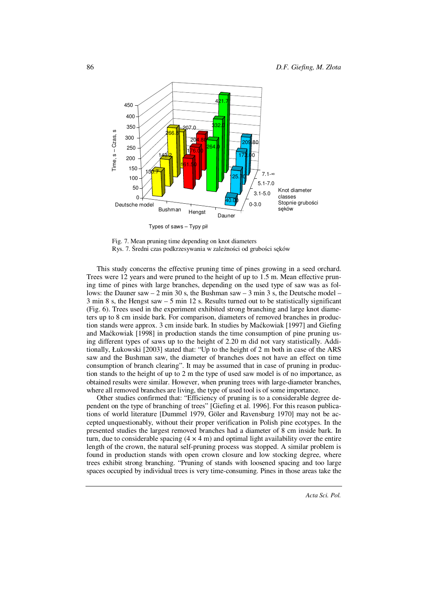

Fig. 7. Mean pruning time depending on knot diameters Rys. 7. Średni czas podkrzesywania w zależności od grubości sęków

This study concerns the effective pruning time of pines growing in a seed orchard. Trees were 12 years and were pruned to the height of up to 1.5 m. Mean effective pruning time of pines with large branches, depending on the used type of saw was as follows: the Dauner saw – 2 min 30 s, the Bushman saw – 3 min 3 s, the Deutsche model – 3 min 8 s, the Hengst saw – 5 min 12 s. Results turned out to be statistically significant (Fig. 6). Trees used in the experiment exhibited strong branching and large knot diameters up to 8 cm inside bark. For comparison, diameters of removed branches in production stands were approx. 3 cm inside bark. In studies by Maćkowiak [1997] and Giefing and Maćkowiak [1998] in production stands the time consumption of pine pruning using different types of saws up to the height of 2.20 m did not vary statistically. Additionally, Łukowski [2003] stated that: "Up to the height of 2 m both in case of the ARS saw and the Bushman saw, the diameter of branches does not have an effect on time consumption of branch clearing". It may be assumed that in case of pruning in production stands to the height of up to 2 m the type of used saw model is of no importance, as obtained results were similar. However, when pruning trees with large-diameter branches, where all removed branches are living, the type of used tool is of some importance.

Other studies confirmed that: "Efficiency of pruning is to a considerable degree dependent on the type of branching of trees" [Giefing et al. 1996]. For this reason publications of world literature [Dummel 1979, Göler and Ravensburg 1970] may not be accepted unquestionably, without their proper verification in Polish pine ecotypes. In the presented studies the largest removed branches had a diameter of 8 cm inside bark. In turn, due to considerable spacing  $(4 \times 4 \text{ m})$  and optimal light availability over the entire length of the crown, the natural self-pruning process was stopped. A similar problem is found in production stands with open crown closure and low stocking degree, where trees exhibit strong branching. "Pruning of stands with loosened spacing and too large spaces occupied by individual trees is very time-consuming. Pines in those areas take the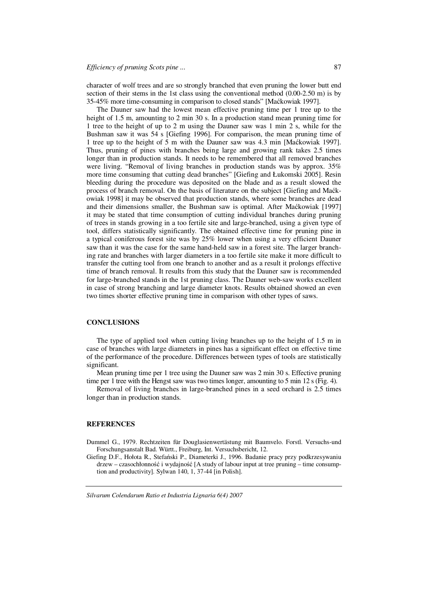character of wolf trees and are so strongly branched that even pruning the lower butt end section of their stems in the 1st class using the conventional method (0.00-2.50 m) is by 35-45% more time-consuming in comparison to closed stands" [Maćkowiak 1997].

The Dauner saw had the lowest mean effective pruning time per 1 tree up to the height of 1.5 m, amounting to 2 min 30 s. In a production stand mean pruning time for 1 tree to the height of up to 2 m using the Dauner saw was 1 min 2 s, while for the Bushman saw it was 54 s [Giefing 1996]. For comparison, the mean pruning time of 1 tree up to the height of 5 m with the Dauner saw was 4.3 min [Maćkowiak 1997]. Thus, pruning of pines with branches being large and growing rank takes 2.5 times longer than in production stands. It needs to be remembered that all removed branches were living. "Removal of living branches in production stands was by approx. 35% more time consuming that cutting dead branches" [Giefing and Łukomski 2005]. Resin bleeding during the procedure was deposited on the blade and as a result slowed the process of branch removal. On the basis of literature on the subject [Giefing and Maćkowiak 1998] it may be observed that production stands, where some branches are dead and their dimensions smaller, the Bushman saw is optimal. After Maćkowiak [1997] it may be stated that time consumption of cutting individual branches during pruning of trees in stands growing in a too fertile site and large-branched, using a given type of tool, differs statistically significantly. The obtained effective time for pruning pine in a typical coniferous forest site was by 25% lower when using a very efficient Dauner saw than it was the case for the same hand-held saw in a forest site. The larger branching rate and branches with larger diameters in a too fertile site make it more difficult to transfer the cutting tool from one branch to another and as a result it prolongs effective time of branch removal. It results from this study that the Dauner saw is recommended for large-branched stands in the 1st pruning class. The Dauner web-saw works excellent in case of strong branching and large diameter knots. Results obtained showed an even two times shorter effective pruning time in comparison with other types of saws.

#### **CONCLUSIONS**

The type of applied tool when cutting living branches up to the height of 1.5 m in case of branches with large diameters in pines has a significant effect on effective time of the performance of the procedure. Differences between types of tools are statistically significant.

Mean pruning time per 1 tree using the Dauner saw was 2 min 30 s. Effective pruning time per 1 tree with the Hengst saw was two times longer, amounting to 5 min 12 s (Fig. 4).

Removal of living branches in large-branched pines in a seed orchard is 2.5 times longer than in production stands.

#### **REFERENCES**

Dummel G., 1979. Rechtzeiten für Douglasienwertästung mit Baumvelo. Forstl. Versuchs-und Forschungsanstalt Bad. Württ., Freiburg, Int. Versuchsbericht, 12.

Giefing D.F., Hołota R., Stefański P., Diameterki J., 1996. Badanie pracy przy podkrzesywaniu drzew – czasochłonność i wydajność [A study of labour input at tree pruning – time consumption and productivity]. Sylwan 140, 1, 37-44 [in Polish].

*Silvarum Colendarum Ratio et Industria Lignaria 6(4) 2007*